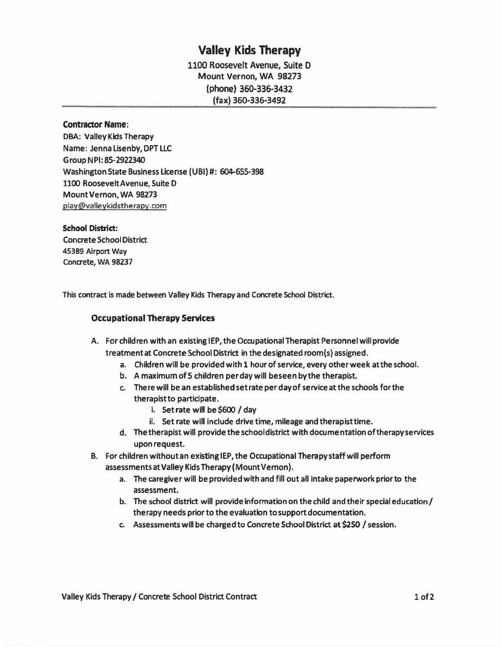## **Valley Kids Therapy**

**1100 Roosevelt Avenue, Suite D Mount Vernon, WA 98273 (phone) 360-336-3432 (fax) 360-336-3492** 

#### **Contractor Name:**

**DB A: Valley Kids Therapy Name: Jennalisenby,DPTLLC GroupNPl:85-2922340 Washington State Business License (UBI)#: 604-655-398 1100 Roosevelt Avenue, Suite D Mount Vernon, WA 98273 [play@valleykidstherapy.com](mailto:play@valleykidstherapy.com)** 

#### **School District:**

**Concrete School District 45389 Airport Way Concrete, WA 98237** 

**This contract is made between Valley Kids Therapy and Concrete School District.** 

### **Occupational Therapy Services**

### **A. For children with an existing IEP, the Occupational Therapist Personnel will provide treatment at Concrete School District in the designated room(s) assigned.**

- **a. Children will be provided with 1 hour of service, every other week at the school.**
- **b. A maximumofS children perdaywill beseenbythe therapist.**
- **c. The re will be an established set rate per day of service atthe schools for the therapistto participate.** 
	- **i. Set rate wiH be \$600 / day**
	- **ii. Set rate will include drive time, mileage and therapisttime.**
- **d. The therapist will provide the school district with docume ntatlon of therapy services upon request.**
- **B. For children without an existinglEP, the Occupational Therapy staff will perform assessmentsatValleyKidsTherapy(MountVernon).** 
	- **a. The caregiver will be provided with and fill out all intake paperwork prior to the assessment.**
	- **b. The school district will provide information on the child and their special education/ therapy needs prior to the evaluation to support documentation.**
	- **c. Assessments will be charged to Concrete School District at \$250 / session.**